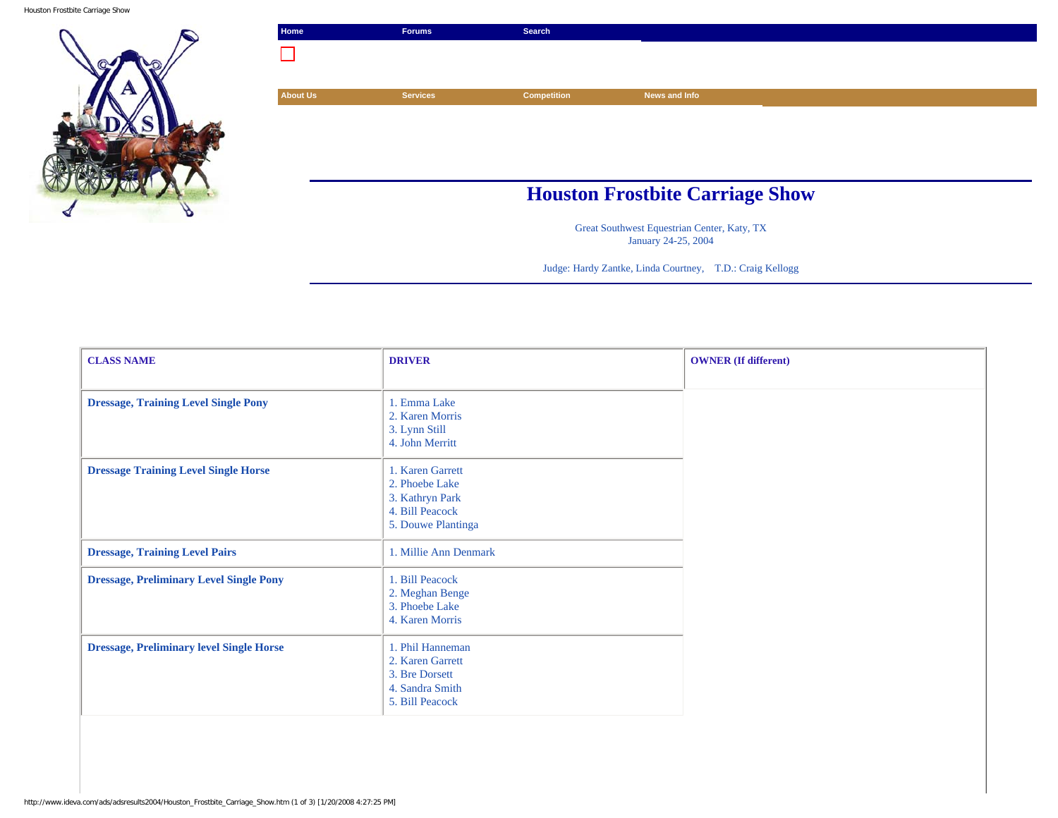Houston Frostbite Carriage Show



| Home            | <b>Forums</b>   | Search                                 |               |  |
|-----------------|-----------------|----------------------------------------|---------------|--|
|                 |                 |                                        |               |  |
|                 |                 |                                        |               |  |
| <b>About Us</b> | <b>Services</b> | <b>Competition</b>                     | News and Info |  |
|                 |                 |                                        |               |  |
|                 |                 |                                        |               |  |
|                 |                 |                                        |               |  |
|                 |                 |                                        |               |  |
|                 |                 | <b>Houston Frostbite Carriage Show</b> |               |  |
|                 |                 |                                        |               |  |

Great Southwest Equestrian Center, Katy, TX January 24-25, 2004

Judge: Hardy Zantke, Linda Courtney, T.D.: Craig Kellogg

| <b>CLASS NAME</b>                               | <b>DRIVER</b>                                                                                  | <b>OWNER</b> (If different) |
|-------------------------------------------------|------------------------------------------------------------------------------------------------|-----------------------------|
| <b>Dressage, Training Level Single Pony</b>     | 1. Emma Lake<br>2. Karen Morris<br>3. Lynn Still<br>4. John Merritt                            |                             |
| <b>Dressage Training Level Single Horse</b>     | 1. Karen Garrett<br>2. Phoebe Lake<br>3. Kathryn Park<br>4. Bill Peacock<br>5. Douwe Plantinga |                             |
| <b>Dressage, Training Level Pairs</b>           | 1. Millie Ann Denmark                                                                          |                             |
| <b>Dressage, Preliminary Level Single Pony</b>  | 1. Bill Peacock<br>2. Meghan Benge<br>3. Phoebe Lake<br>4. Karen Morris                        |                             |
| <b>Dressage, Preliminary level Single Horse</b> | 1. Phil Hanneman<br>2. Karen Garrett<br>3. Bre Dorsett<br>4. Sandra Smith<br>5. Bill Peacock   |                             |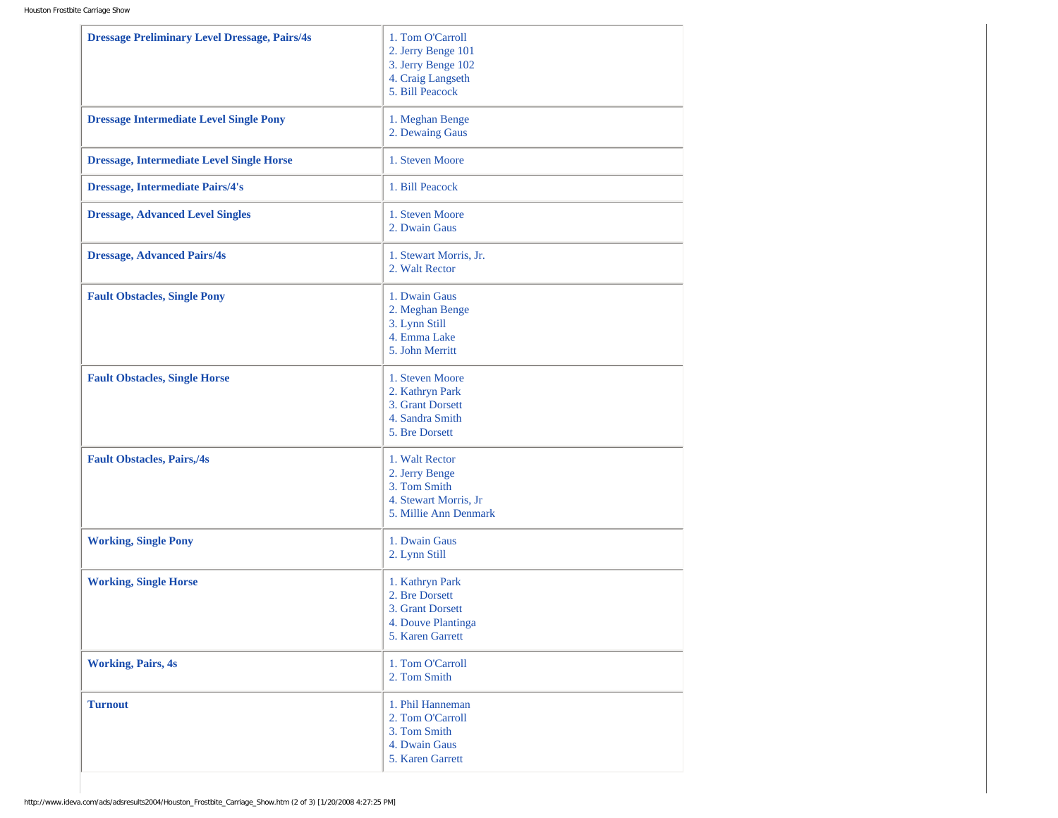| <b>Dressage Preliminary Level Dressage, Pairs/4s</b> | 1. Tom O'Carroll<br>2. Jerry Benge 101<br>3. Jerry Benge 102<br>4. Craig Langseth<br>5. Bill Peacock |
|------------------------------------------------------|------------------------------------------------------------------------------------------------------|
| <b>Dressage Intermediate Level Single Pony</b>       | 1. Meghan Benge<br>2. Dewaing Gaus                                                                   |
| <b>Dressage, Intermediate Level Single Horse</b>     | 1. Steven Moore                                                                                      |
| <b>Dressage, Intermediate Pairs/4's</b>              | 1. Bill Peacock                                                                                      |
| <b>Dressage, Advanced Level Singles</b>              | 1. Steven Moore<br>2. Dwain Gaus                                                                     |
| <b>Dressage, Advanced Pairs/4s</b>                   | 1. Stewart Morris, Jr.<br>2. Walt Rector                                                             |
| <b>Fault Obstacles, Single Pony</b>                  | 1. Dwain Gaus<br>2. Meghan Benge<br>3. Lynn Still<br>4. Emma Lake<br>5. John Merritt                 |
| <b>Fault Obstacles, Single Horse</b>                 | 1. Steven Moore<br>2. Kathryn Park<br>3. Grant Dorsett<br>4. Sandra Smith<br>5. Bre Dorsett          |
| <b>Fault Obstacles, Pairs,/4s</b>                    | 1. Walt Rector<br>2. Jerry Benge<br>3. Tom Smith<br>4. Stewart Morris, Jr<br>5. Millie Ann Denmark   |
| <b>Working, Single Pony</b>                          | 1. Dwain Gaus<br>2. Lynn Still                                                                       |
| <b>Working, Single Horse</b>                         | 1. Kathryn Park<br>2. Bre Dorsett<br>3. Grant Dorsett<br>4. Douve Plantinga<br>5. Karen Garrett      |
| <b>Working, Pairs, 4s</b>                            | 1. Tom O'Carroll<br>2. Tom Smith                                                                     |
| <b>Turnout</b>                                       | 1. Phil Hanneman<br>2. Tom O'Carroll<br>3. Tom Smith<br>4. Dwain Gaus<br>5. Karen Garrett            |